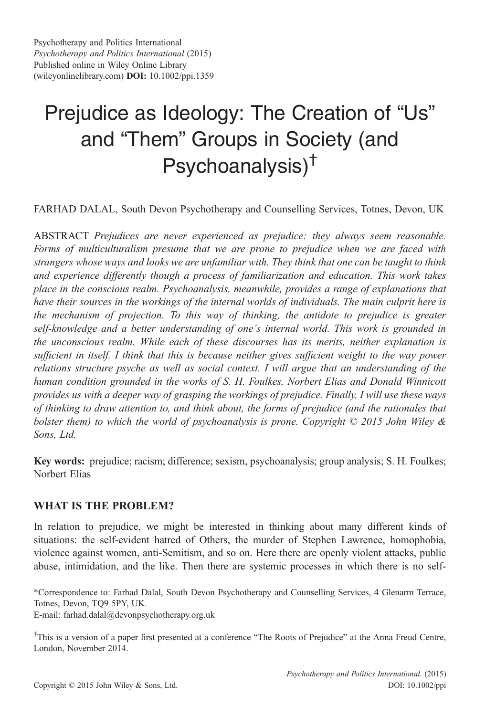# Prejudice as Ideology: The Creation of "Us" and "Them" Groups in Society (and Psychoanalysis)†

FARHAD DALAL, South Devon Psychotherapy and Counselling Services, Totnes, Devon, UK

ABSTRACT Prejudices are never experienced as prejudice: they always seem reasonable. Forms of multiculturalism presume that we are prone to prejudice when we are faced with strangers whose ways and looks we are unfamiliar with. They think that one can be taught to think and experience differently though a process of familiarization and education. This work takes place in the conscious realm. Psychoanalysis, meanwhile, provides a range of explanations that have their sources in the workings of the internal worlds of individuals. The main culprit here is the mechanism of projection. To this way of thinking, the antidote to prejudice is greater self-knowledge and a better understanding of one's internal world. This work is grounded in the unconscious realm. While each of these discourses has its merits, neither explanation is sufficient in itself. I think that this is because neither gives sufficient weight to the way power relations structure psyche as well as social context. I will argue that an understanding of the human condition grounded in the works of S. H. Foulkes, Norbert Elias and Donald Winnicott provides us with a deeper way of grasping the workings of prejudice. Finally, I will use these ways of thinking to draw attention to, and think about, the forms of prejudice (and the rationales that bolster them) to which the world of psychoanalysis is prone. Copyright  $\heartsuit$  2015 John Wiley & Sons, Ltd.

Key words: prejudice; racism; difference; sexism, psychoanalysis; group analysis; S. H. Foulkes; Norbert Elias

## WHAT IS THE PROBLEM?

In relation to prejudice, we might be interested in thinking about many different kinds of situations: the self-evident hatred of Others, the murder of Stephen Lawrence, homophobia, violence against women, anti-Semitism, and so on. Here there are openly violent attacks, public abuse, intimidation, and the like. Then there are systemic processes in which there is no self-

\*Correspondence to: Farhad Dalal, South Devon Psychotherapy and Counselling Services, 4 Glenarm Terrace, Totnes, Devon, TQ9 5PY, UK.

E-mail: farhad.dalal@devonpsychotherapy.org.uk

<sup>†</sup>This is a version of a paper first presented at a conference "The Roots of Prejudice" at the Anna Freud Centre, London, November 2014.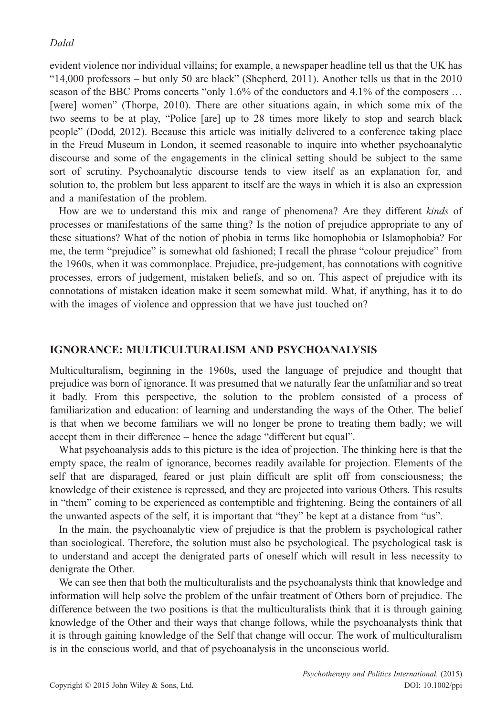evident violence nor individual villains; for example, a newspaper headline tell us that the UK has "14,000 professors – but only 50 are black" (Shepherd, 2011). Another tells us that in the 2010 season of the BBC Proms concerts "only 1.6% of the conductors and 4.1% of the composers … [were] women" (Thorpe, 2010). There are other situations again, in which some mix of the two seems to be at play, "Police [are] up to 28 times more likely to stop and search black people" (Dodd, 2012). Because this article was initially delivered to a conference taking place in the Freud Museum in London, it seemed reasonable to inquire into whether psychoanalytic discourse and some of the engagements in the clinical setting should be subject to the same sort of scrutiny. Psychoanalytic discourse tends to view itself as an explanation for, and solution to, the problem but less apparent to itself are the ways in which it is also an expression and a manifestation of the problem.

How are we to understand this mix and range of phenomena? Are they different *kinds* of processes or manifestations of the same thing? Is the notion of prejudice appropriate to any of these situations? What of the notion of phobia in terms like homophobia or Islamophobia? For me, the term "prejudice" is somewhat old fashioned; I recall the phrase "colour prejudice" from the 1960s, when it was commonplace. Prejudice, pre-judgement, has connotations with cognitive processes, errors of judgement, mistaken beliefs, and so on. This aspect of prejudice with its connotations of mistaken ideation make it seem somewhat mild. What, if anything, has it to do with the images of violence and oppression that we have just touched on?

#### IGNORANCE: MULTICULTURALISM AND PSYCHOANALYSIS

Multiculturalism, beginning in the 1960s, used the language of prejudice and thought that prejudice was born of ignorance. It was presumed that we naturally fear the unfamiliar and so treat it badly. From this perspective, the solution to the problem consisted of a process of familiarization and education: of learning and understanding the ways of the Other. The belief is that when we become familiars we will no longer be prone to treating them badly; we will accept them in their difference – hence the adage "different but equal".

What psychoanalysis adds to this picture is the idea of projection. The thinking here is that the empty space, the realm of ignorance, becomes readily available for projection. Elements of the self that are disparaged, feared or just plain difficult are split off from consciousness; the knowledge of their existence is repressed, and they are projected into various Others. This results in "them" coming to be experienced as contemptible and frightening. Being the containers of all the unwanted aspects of the self, it is important that "they" be kept at a distance from "us".

In the main, the psychoanalytic view of prejudice is that the problem is psychological rather than sociological. Therefore, the solution must also be psychological. The psychological task is to understand and accept the denigrated parts of oneself which will result in less necessity to denigrate the Other.

We can see then that both the multiculturalists and the psychoanalysts think that knowledge and information will help solve the problem of the unfair treatment of Others born of prejudice. The difference between the two positions is that the multiculturalists think that it is through gaining knowledge of the Other and their ways that change follows, while the psychoanalysts think that it is through gaining knowledge of the Self that change will occur. The work of multiculturalism is in the conscious world, and that of psychoanalysis in the unconscious world.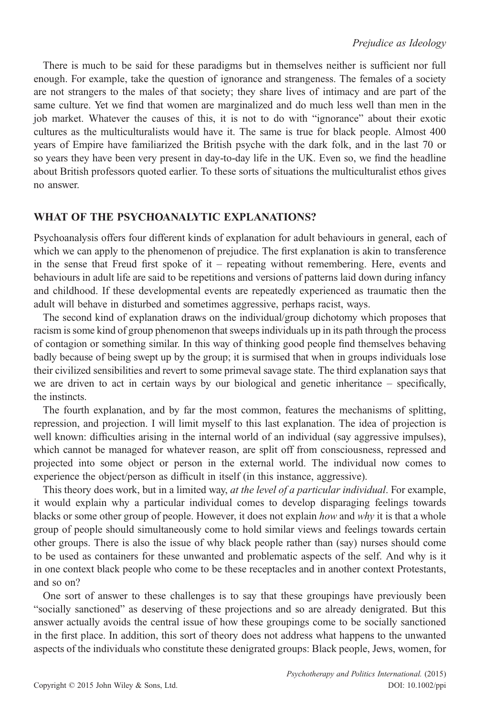There is much to be said for these paradigms but in themselves neither is sufficient nor full enough. For example, take the question of ignorance and strangeness. The females of a society are not strangers to the males of that society; they share lives of intimacy and are part of the same culture. Yet we find that women are marginalized and do much less well than men in the job market. Whatever the causes of this, it is not to do with "ignorance" about their exotic cultures as the multiculturalists would have it. The same is true for black people. Almost 400 years of Empire have familiarized the British psyche with the dark folk, and in the last 70 or so years they have been very present in day-to-day life in the UK. Even so, we find the headline about British professors quoted earlier. To these sorts of situations the multiculturalist ethos gives no answer.

## WHAT OF THE PSYCHOANALYTIC EXPLANATIONS?

Psychoanalysis offers four different kinds of explanation for adult behaviours in general, each of which we can apply to the phenomenon of prejudice. The first explanation is akin to transference in the sense that Freud first spoke of it – repeating without remembering. Here, events and behaviours in adult life are said to be repetitions and versions of patterns laid down during infancy and childhood. If these developmental events are repeatedly experienced as traumatic then the adult will behave in disturbed and sometimes aggressive, perhaps racist, ways.

The second kind of explanation draws on the individual/group dichotomy which proposes that racism is some kind of group phenomenon that sweeps individuals up in its path through the process of contagion or something similar. In this way of thinking good people find themselves behaving badly because of being swept up by the group; it is surmised that when in groups individuals lose their civilized sensibilities and revert to some primeval savage state. The third explanation says that we are driven to act in certain ways by our biological and genetic inheritance – specifically, the instincts.

The fourth explanation, and by far the most common, features the mechanisms of splitting, repression, and projection. I will limit myself to this last explanation. The idea of projection is well known: difficulties arising in the internal world of an individual (say aggressive impulses), which cannot be managed for whatever reason, are split off from consciousness, repressed and projected into some object or person in the external world. The individual now comes to experience the object/person as difficult in itself (in this instance, aggressive).

This theory does work, but in a limited way, *at the level of a particular individual*. For example, it would explain why a particular individual comes to develop disparaging feelings towards blacks or some other group of people. However, it does not explain how and why it is that a whole group of people should simultaneously come to hold similar views and feelings towards certain other groups. There is also the issue of why black people rather than (say) nurses should come to be used as containers for these unwanted and problematic aspects of the self. And why is it in one context black people who come to be these receptacles and in another context Protestants, and so on?

One sort of answer to these challenges is to say that these groupings have previously been "socially sanctioned" as deserving of these projections and so are already denigrated. But this answer actually avoids the central issue of how these groupings come to be socially sanctioned in the first place. In addition, this sort of theory does not address what happens to the unwanted aspects of the individuals who constitute these denigrated groups: Black people, Jews, women, for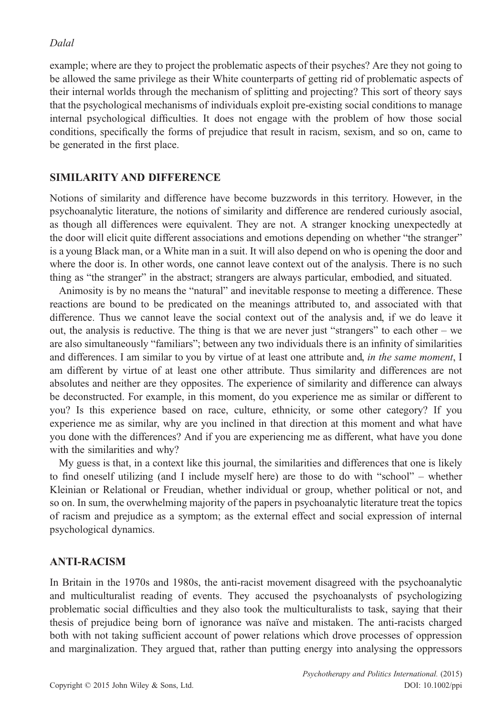example; where are they to project the problematic aspects of their psyches? Are they not going to be allowed the same privilege as their White counterparts of getting rid of problematic aspects of their internal worlds through the mechanism of splitting and projecting? This sort of theory says that the psychological mechanisms of individuals exploit pre-existing social conditions to manage internal psychological difficulties. It does not engage with the problem of how those social conditions, specifically the forms of prejudice that result in racism, sexism, and so on, came to be generated in the first place.

## SIMILARITY AND DIFFERENCE

Notions of similarity and difference have become buzzwords in this territory. However, in the psychoanalytic literature, the notions of similarity and difference are rendered curiously asocial, as though all differences were equivalent. They are not. A stranger knocking unexpectedly at the door will elicit quite different associations and emotions depending on whether "the stranger" is a young Black man, or a White man in a suit. It will also depend on who is opening the door and where the door is. In other words, one cannot leave context out of the analysis. There is no such thing as "the stranger" in the abstract; strangers are always particular, embodied, and situated.

Animosity is by no means the "natural" and inevitable response to meeting a difference. These reactions are bound to be predicated on the meanings attributed to, and associated with that difference. Thus we cannot leave the social context out of the analysis and, if we do leave it out, the analysis is reductive. The thing is that we are never just "strangers" to each other – we are also simultaneously "familiars"; between any two individuals there is an infinity of similarities and differences. I am similar to you by virtue of at least one attribute and, in the same moment, I am different by virtue of at least one other attribute. Thus similarity and differences are not absolutes and neither are they opposites. The experience of similarity and difference can always be deconstructed. For example, in this moment, do you experience me as similar or different to you? Is this experience based on race, culture, ethnicity, or some other category? If you experience me as similar, why are you inclined in that direction at this moment and what have you done with the differences? And if you are experiencing me as different, what have you done with the similarities and why?

My guess is that, in a context like this journal, the similarities and differences that one is likely to find oneself utilizing (and I include myself here) are those to do with "school" – whether Kleinian or Relational or Freudian, whether individual or group, whether political or not, and so on. In sum, the overwhelming majority of the papers in psychoanalytic literature treat the topics of racism and prejudice as a symptom; as the external effect and social expression of internal psychological dynamics.

## ANTI-RACISM

In Britain in the 1970s and 1980s, the anti-racist movement disagreed with the psychoanalytic and multiculturalist reading of events. They accused the psychoanalysts of psychologizing problematic social difficulties and they also took the multiculturalists to task, saying that their thesis of prejudice being born of ignorance was naïve and mistaken. The anti-racists charged both with not taking sufficient account of power relations which drove processes of oppression and marginalization. They argued that, rather than putting energy into analysing the oppressors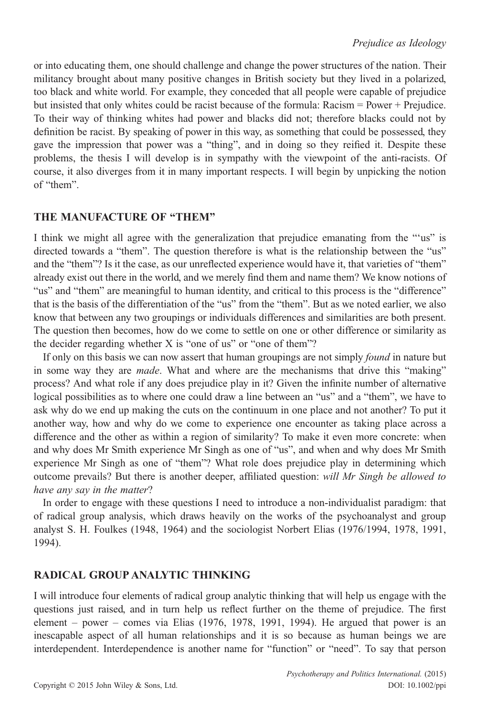or into educating them, one should challenge and change the power structures of the nation. Their militancy brought about many positive changes in British society but they lived in a polarized, too black and white world. For example, they conceded that all people were capable of prejudice but insisted that only whites could be racist because of the formula: Racism = Power + Prejudice. To their way of thinking whites had power and blacks did not; therefore blacks could not by definition be racist. By speaking of power in this way, as something that could be possessed, they gave the impression that power was a "thing", and in doing so they reified it. Despite these problems, the thesis I will develop is in sympathy with the viewpoint of the anti-racists. Of course, it also diverges from it in many important respects. I will begin by unpicking the notion of "them".

## THE MANUFACTURE OF "THEM"

I think we might all agree with the generalization that prejudice emanating from the "'us" is directed towards a "them". The question therefore is what is the relationship between the "us" and the "them"? Is it the case, as our unreflected experience would have it, that varieties of "them" already exist out there in the world, and we merely find them and name them? We know notions of "us" and "them" are meaningful to human identity, and critical to this process is the "difference" that is the basis of the differentiation of the "us" from the "them". But as we noted earlier, we also know that between any two groupings or individuals differences and similarities are both present. The question then becomes, how do we come to settle on one or other difference or similarity as the decider regarding whether X is "one of us" or "one of them"?

If only on this basis we can now assert that human groupings are not simply *found* in nature but in some way they are *made*. What and where are the mechanisms that drive this "making" process? And what role if any does prejudice play in it? Given the infinite number of alternative logical possibilities as to where one could draw a line between an "us" and a "them", we have to ask why do we end up making the cuts on the continuum in one place and not another? To put it another way, how and why do we come to experience one encounter as taking place across a difference and the other as within a region of similarity? To make it even more concrete: when and why does Mr Smith experience Mr Singh as one of "us", and when and why does Mr Smith experience Mr Singh as one of "them"? What role does prejudice play in determining which outcome prevails? But there is another deeper, affiliated question: will Mr Singh be allowed to have any say in the matter?

In order to engage with these questions I need to introduce a non-individualist paradigm: that of radical group analysis, which draws heavily on the works of the psychoanalyst and group analyst S. H. Foulkes (1948, 1964) and the sociologist Norbert Elias (1976/1994, 1978, 1991, 1994).

## RADICAL GROUP ANALYTIC THINKING

I will introduce four elements of radical group analytic thinking that will help us engage with the questions just raised, and in turn help us reflect further on the theme of prejudice. The first element – power – comes via Elias (1976, 1978, 1991, 1994). He argued that power is an inescapable aspect of all human relationships and it is so because as human beings we are interdependent. Interdependence is another name for "function" or "need". To say that person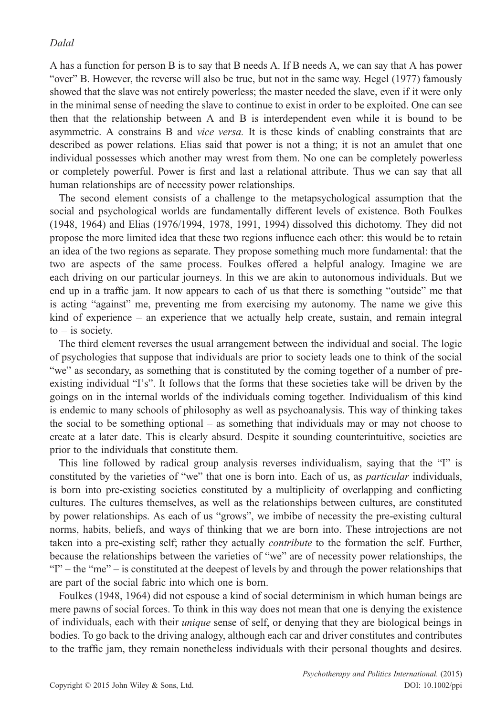A has a function for person B is to say that B needs A. If B needs A, we can say that A has power "over" B. However, the reverse will also be true, but not in the same way. Hegel (1977) famously showed that the slave was not entirely powerless; the master needed the slave, even if it were only in the minimal sense of needing the slave to continue to exist in order to be exploited. One can see then that the relationship between A and B is interdependent even while it is bound to be asymmetric. A constrains B and *vice versa*. It is these kinds of enabling constraints that are described as power relations. Elias said that power is not a thing; it is not an amulet that one individual possesses which another may wrest from them. No one can be completely powerless or completely powerful. Power is first and last a relational attribute. Thus we can say that all human relationships are of necessity power relationships.

The second element consists of a challenge to the metapsychological assumption that the social and psychological worlds are fundamentally different levels of existence. Both Foulkes (1948, 1964) and Elias (1976/1994, 1978, 1991, 1994) dissolved this dichotomy. They did not propose the more limited idea that these two regions influence each other: this would be to retain an idea of the two regions as separate. They propose something much more fundamental: that the two are aspects of the same process. Foulkes offered a helpful analogy. Imagine we are each driving on our particular journeys. In this we are akin to autonomous individuals. But we end up in a traffic jam. It now appears to each of us that there is something "outside" me that is acting "against" me, preventing me from exercising my autonomy. The name we give this kind of experience – an experience that we actually help create, sustain, and remain integral  $to -$  is society.

The third element reverses the usual arrangement between the individual and social. The logic of psychologies that suppose that individuals are prior to society leads one to think of the social "we" as secondary, as something that is constituted by the coming together of a number of preexisting individual "I's". It follows that the forms that these societies take will be driven by the goings on in the internal worlds of the individuals coming together. Individualism of this kind is endemic to many schools of philosophy as well as psychoanalysis. This way of thinking takes the social to be something optional – as something that individuals may or may not choose to create at a later date. This is clearly absurd. Despite it sounding counterintuitive, societies are prior to the individuals that constitute them.

This line followed by radical group analysis reverses individualism, saying that the "I" is constituted by the varieties of "we" that one is born into. Each of us, as *particular* individuals, is born into pre-existing societies constituted by a multiplicity of overlapping and conflicting cultures. The cultures themselves, as well as the relationships between cultures, are constituted by power relationships. As each of us "grows", we imbibe of necessity the pre-existing cultural norms, habits, beliefs, and ways of thinking that we are born into. These introjections are not taken into a pre-existing self; rather they actually contribute to the formation the self. Further, because the relationships between the varieties of "we" are of necessity power relationships, the "I" – the "me" – is constituted at the deepest of levels by and through the power relationships that are part of the social fabric into which one is born.

Foulkes (1948, 1964) did not espouse a kind of social determinism in which human beings are mere pawns of social forces. To think in this way does not mean that one is denying the existence of individuals, each with their unique sense of self, or denying that they are biological beings in bodies. To go back to the driving analogy, although each car and driver constitutes and contributes to the traffic jam, they remain nonetheless individuals with their personal thoughts and desires.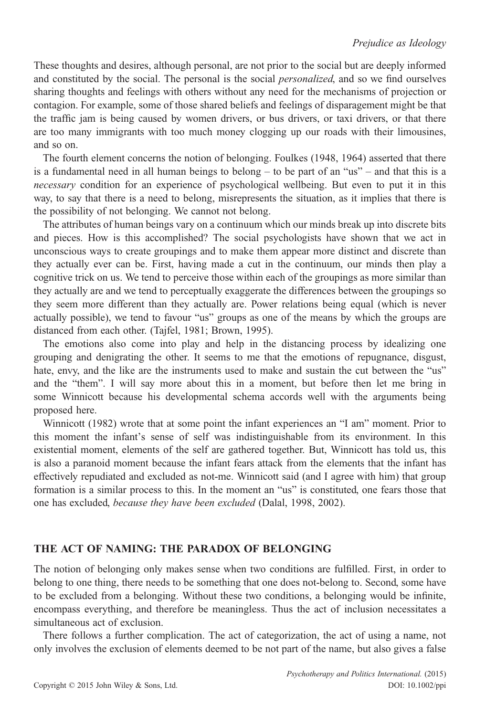These thoughts and desires, although personal, are not prior to the social but are deeply informed and constituted by the social. The personal is the social *personalized*, and so we find ourselves sharing thoughts and feelings with others without any need for the mechanisms of projection or contagion. For example, some of those shared beliefs and feelings of disparagement might be that the traffic jam is being caused by women drivers, or bus drivers, or taxi drivers, or that there are too many immigrants with too much money clogging up our roads with their limousines, and so on.

The fourth element concerns the notion of belonging. Foulkes (1948, 1964) asserted that there is a fundamental need in all human beings to belong – to be part of an "us" – and that this is a necessary condition for an experience of psychological wellbeing. But even to put it in this way, to say that there is a need to belong, misrepresents the situation, as it implies that there is the possibility of not belonging. We cannot not belong.

The attributes of human beings vary on a continuum which our minds break up into discrete bits and pieces. How is this accomplished? The social psychologists have shown that we act in unconscious ways to create groupings and to make them appear more distinct and discrete than they actually ever can be. First, having made a cut in the continuum, our minds then play a cognitive trick on us. We tend to perceive those within each of the groupings as more similar than they actually are and we tend to perceptually exaggerate the differences between the groupings so they seem more different than they actually are. Power relations being equal (which is never actually possible), we tend to favour "us" groups as one of the means by which the groups are distanced from each other. (Tajfel, 1981; Brown, 1995).

The emotions also come into play and help in the distancing process by idealizing one grouping and denigrating the other. It seems to me that the emotions of repugnance, disgust, hate, envy, and the like are the instruments used to make and sustain the cut between the "us" and the "them". I will say more about this in a moment, but before then let me bring in some Winnicott because his developmental schema accords well with the arguments being proposed here.

Winnicott (1982) wrote that at some point the infant experiences an "I am" moment. Prior to this moment the infant's sense of self was indistinguishable from its environment. In this existential moment, elements of the self are gathered together. But, Winnicott has told us, this is also a paranoid moment because the infant fears attack from the elements that the infant has effectively repudiated and excluded as not-me. Winnicott said (and I agree with him) that group formation is a similar process to this. In the moment an "us" is constituted, one fears those that one has excluded, because they have been excluded (Dalal, 1998, 2002).

## THE ACT OF NAMING: THE PARADOX OF BELONGING

The notion of belonging only makes sense when two conditions are fulfilled. First, in order to belong to one thing, there needs to be something that one does not-belong to. Second, some have to be excluded from a belonging. Without these two conditions, a belonging would be infinite, encompass everything, and therefore be meaningless. Thus the act of inclusion necessitates a simultaneous act of exclusion.

There follows a further complication. The act of categorization, the act of using a name, not only involves the exclusion of elements deemed to be not part of the name, but also gives a false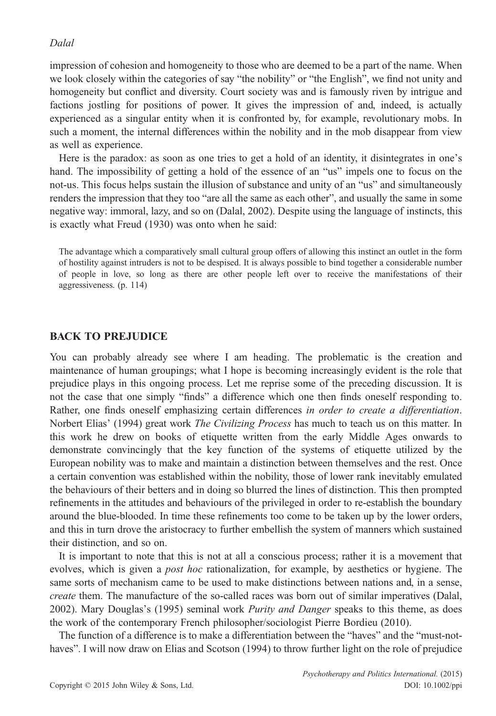impression of cohesion and homogeneity to those who are deemed to be a part of the name. When we look closely within the categories of say "the nobility" or "the English", we find not unity and homogeneity but conflict and diversity. Court society was and is famously riven by intrigue and factions jostling for positions of power. It gives the impression of and, indeed, is actually experienced as a singular entity when it is confronted by, for example, revolutionary mobs. In such a moment, the internal differences within the nobility and in the mob disappear from view as well as experience.

Here is the paradox: as soon as one tries to get a hold of an identity, it disintegrates in one's hand. The impossibility of getting a hold of the essence of an "us" impels one to focus on the not-us. This focus helps sustain the illusion of substance and unity of an "us" and simultaneously renders the impression that they too "are all the same as each other", and usually the same in some negative way: immoral, lazy, and so on (Dalal, 2002). Despite using the language of instincts, this is exactly what Freud (1930) was onto when he said:

The advantage which a comparatively small cultural group offers of allowing this instinct an outlet in the form of hostility against intruders is not to be despised. It is always possible to bind together a considerable number of people in love, so long as there are other people left over to receive the manifestations of their aggressiveness. (p. 114)

## BACK TO PREJUDICE

You can probably already see where I am heading. The problematic is the creation and maintenance of human groupings; what I hope is becoming increasingly evident is the role that prejudice plays in this ongoing process. Let me reprise some of the preceding discussion. It is not the case that one simply "finds" a difference which one then finds oneself responding to. Rather, one finds oneself emphasizing certain differences in order to create a differentiation. Norbert Elias' (1994) great work *The Civilizing Process* has much to teach us on this matter. In this work he drew on books of etiquette written from the early Middle Ages onwards to demonstrate convincingly that the key function of the systems of etiquette utilized by the European nobility was to make and maintain a distinction between themselves and the rest. Once a certain convention was established within the nobility, those of lower rank inevitably emulated the behaviours of their betters and in doing so blurred the lines of distinction. This then prompted refinements in the attitudes and behaviours of the privileged in order to re-establish the boundary around the blue-blooded. In time these refinements too come to be taken up by the lower orders, and this in turn drove the aristocracy to further embellish the system of manners which sustained their distinction, and so on.

It is important to note that this is not at all a conscious process; rather it is a movement that evolves, which is given a *post hoc* rationalization, for example, by aesthetics or hygiene. The same sorts of mechanism came to be used to make distinctions between nations and, in a sense, create them. The manufacture of the so-called races was born out of similar imperatives (Dalal, 2002). Mary Douglas's (1995) seminal work *Purity and Danger* speaks to this theme, as does the work of the contemporary French philosopher/sociologist Pierre Bordieu (2010).

The function of a difference is to make a differentiation between the "haves" and the "must-nothaves". I will now draw on Elias and Scotson (1994) to throw further light on the role of prejudice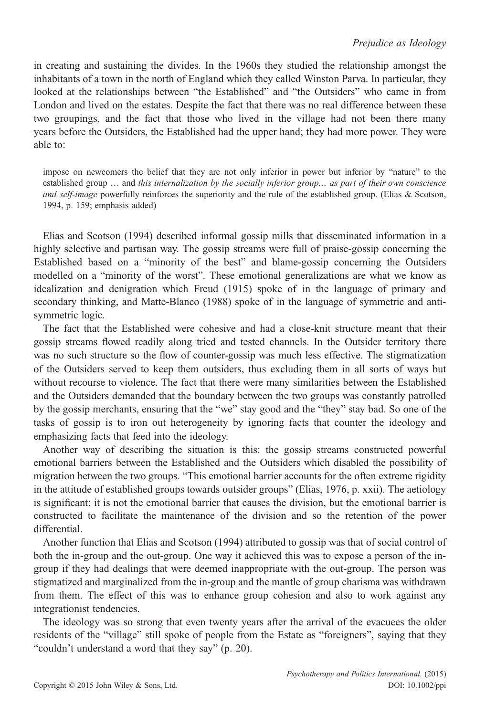in creating and sustaining the divides. In the 1960s they studied the relationship amongst the inhabitants of a town in the north of England which they called Winston Parva. In particular, they looked at the relationships between "the Established" and "the Outsiders" who came in from London and lived on the estates. Despite the fact that there was no real difference between these two groupings, and the fact that those who lived in the village had not been there many years before the Outsiders, the Established had the upper hand; they had more power. They were able to:

impose on newcomers the belief that they are not only inferior in power but inferior by "nature" to the established group ... and this internalization by the socially inferior group... as part of their own conscience and self-image powerfully reinforces the superiority and the rule of the established group. (Elias & Scotson, 1994, p. 159; emphasis added)

Elias and Scotson (1994) described informal gossip mills that disseminated information in a highly selective and partisan way. The gossip streams were full of praise-gossip concerning the Established based on a "minority of the best" and blame-gossip concerning the Outsiders modelled on a "minority of the worst". These emotional generalizations are what we know as idealization and denigration which Freud (1915) spoke of in the language of primary and secondary thinking, and Matte-Blanco (1988) spoke of in the language of symmetric and antisymmetric logic.

The fact that the Established were cohesive and had a close-knit structure meant that their gossip streams flowed readily along tried and tested channels. In the Outsider territory there was no such structure so the flow of counter-gossip was much less effective. The stigmatization of the Outsiders served to keep them outsiders, thus excluding them in all sorts of ways but without recourse to violence. The fact that there were many similarities between the Established and the Outsiders demanded that the boundary between the two groups was constantly patrolled by the gossip merchants, ensuring that the "we" stay good and the "they" stay bad. So one of the tasks of gossip is to iron out heterogeneity by ignoring facts that counter the ideology and emphasizing facts that feed into the ideology.

Another way of describing the situation is this: the gossip streams constructed powerful emotional barriers between the Established and the Outsiders which disabled the possibility of migration between the two groups. "This emotional barrier accounts for the often extreme rigidity in the attitude of established groups towards outsider groups" (Elias, 1976, p. xxii). The aetiology is significant: it is not the emotional barrier that causes the division, but the emotional barrier is constructed to facilitate the maintenance of the division and so the retention of the power differential.

Another function that Elias and Scotson (1994) attributed to gossip was that of social control of both the in-group and the out-group. One way it achieved this was to expose a person of the ingroup if they had dealings that were deemed inappropriate with the out-group. The person was stigmatized and marginalized from the in-group and the mantle of group charisma was withdrawn from them. The effect of this was to enhance group cohesion and also to work against any integrationist tendencies.

The ideology was so strong that even twenty years after the arrival of the evacuees the older residents of the "village" still spoke of people from the Estate as "foreigners", saying that they "couldn't understand a word that they say" (p. 20).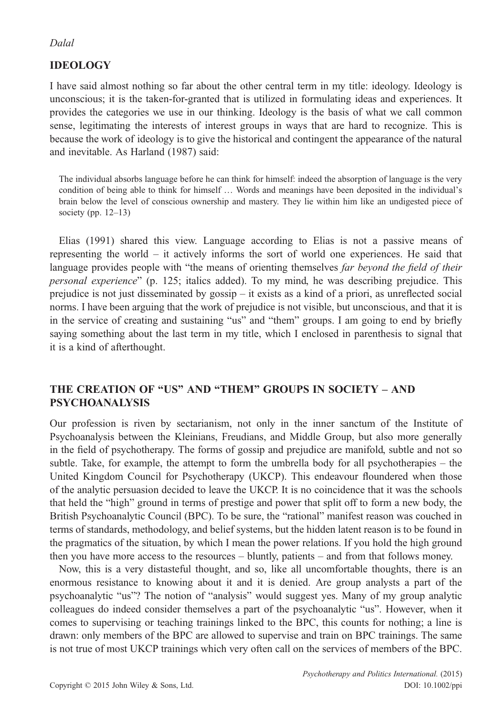# IDEOLOGY

I have said almost nothing so far about the other central term in my title: ideology. Ideology is unconscious; it is the taken-for-granted that is utilized in formulating ideas and experiences. It provides the categories we use in our thinking. Ideology is the basis of what we call common sense, legitimating the interests of interest groups in ways that are hard to recognize. This is because the work of ideology is to give the historical and contingent the appearance of the natural and inevitable. As Harland (1987) said:

The individual absorbs language before he can think for himself: indeed the absorption of language is the very condition of being able to think for himself … Words and meanings have been deposited in the individual's brain below the level of conscious ownership and mastery. They lie within him like an undigested piece of society (pp. 12–13)

Elias (1991) shared this view. Language according to Elias is not a passive means of representing the world – it actively informs the sort of world one experiences. He said that language provides people with "the means of orienting themselves far beyond the field of their personal experience" (p. 125; italics added). To my mind, he was describing prejudice. This prejudice is not just disseminated by gossip – it exists as a kind of a priori, as unreflected social norms. I have been arguing that the work of prejudice is not visible, but unconscious, and that it is in the service of creating and sustaining "us" and "them" groups. I am going to end by briefly saying something about the last term in my title, which I enclosed in parenthesis to signal that it is a kind of afterthought.

## THE CREATION OF "US" AND "THEM" GROUPS IN SOCIETY – AND PSYCHOANALYSIS

Our profession is riven by sectarianism, not only in the inner sanctum of the Institute of Psychoanalysis between the Kleinians, Freudians, and Middle Group, but also more generally in the field of psychotherapy. The forms of gossip and prejudice are manifold, subtle and not so subtle. Take, for example, the attempt to form the umbrella body for all psychotherapies – the United Kingdom Council for Psychotherapy (UKCP). This endeavour floundered when those of the analytic persuasion decided to leave the UKCP. It is no coincidence that it was the schools that held the "high" ground in terms of prestige and power that split off to form a new body, the British Psychoanalytic Council (BPC). To be sure, the "rational" manifest reason was couched in terms of standards, methodology, and belief systems, but the hidden latent reason is to be found in the pragmatics of the situation, by which I mean the power relations. If you hold the high ground then you have more access to the resources – bluntly, patients – and from that follows money.

Now, this is a very distasteful thought, and so, like all uncomfortable thoughts, there is an enormous resistance to knowing about it and it is denied. Are group analysts a part of the psychoanalytic "us"? The notion of "analysis" would suggest yes. Many of my group analytic colleagues do indeed consider themselves a part of the psychoanalytic "us". However, when it comes to supervising or teaching trainings linked to the BPC, this counts for nothing; a line is drawn: only members of the BPC are allowed to supervise and train on BPC trainings. The same is not true of most UKCP trainings which very often call on the services of members of the BPC.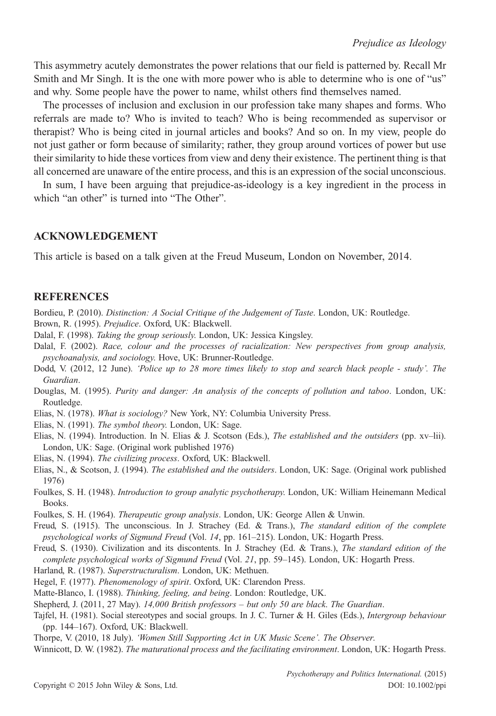This asymmetry acutely demonstrates the power relations that our field is patterned by. Recall Mr Smith and Mr Singh. It is the one with more power who is able to determine who is one of "us" and why. Some people have the power to name, whilst others find themselves named.

The processes of inclusion and exclusion in our profession take many shapes and forms. Who referrals are made to? Who is invited to teach? Who is being recommended as supervisor or therapist? Who is being cited in journal articles and books? And so on. In my view, people do not just gather or form because of similarity; rather, they group around vortices of power but use their similarity to hide these vortices from view and deny their existence. The pertinent thing is that all concerned are unaware of the entire process, and this is an expression of the social unconscious.

In sum, I have been arguing that prejudice-as-ideology is a key ingredient in the process in which "an other" is turned into "The Other".

#### ACKNOWLEDGEMENT

This article is based on a talk given at the Freud Museum, London on November, 2014.

#### **REFERENCES**

Bordieu, P. (2010). Distinction: A Social Critique of the Judgement of Taste. London, UK: Routledge. Brown, R. (1995). Prejudice. Oxford, UK: Blackwell.

- Dalal, F. (1998). Taking the group seriously. London, UK: Jessica Kingsley.
- Dalal, F. (2002). Race, colour and the processes of racialization: New perspectives from group analysis, psychoanalysis, and sociology. Hove, UK: Brunner-Routledge.
- Dodd, V. (2012, 12 June). 'Police up to 28 more times likely to stop and search black people study'. The Guardian.
- Douglas, M. (1995). Purity and danger: An analysis of the concepts of pollution and taboo. London, UK: Routledge.
- Elias, N. (1978). What is sociology? New York, NY: Columbia University Press.
- Elias, N. (1991). The symbol theory. London, UK: Sage.
- Elias, N. (1994). Introduction. In N. Elias & J. Scotson (Eds.), The established and the outsiders (pp. xv–lii). London, UK: Sage. (Original work published 1976)
- Elias, N. (1994). The civilizing process. Oxford, UK: Blackwell.
- Elias, N., & Scotson, J. (1994). The established and the outsiders. London, UK: Sage. (Original work published 1976)
- Foulkes, S. H. (1948). Introduction to group analytic psychotherapy. London, UK: William Heinemann Medical Books.
- Foulkes, S. H. (1964). Therapeutic group analysis. London, UK: George Allen & Unwin.
- Freud, S. (1915). The unconscious. In J. Strachey (Ed. & Trans.), The standard edition of the complete psychological works of Sigmund Freud (Vol. 14, pp. 161–215). London, UK: Hogarth Press.
- Freud, S. (1930). Civilization and its discontents. In J. Strachey (Ed. & Trans.), The standard edition of the complete psychological works of Sigmund Freud (Vol. 21, pp. 59–145). London, UK: Hogarth Press.
- Harland, R. (1987). Superstructuralism. London, UK: Methuen.

Hegel, F. (1977). Phenomenology of spirit. Oxford, UK: Clarendon Press.

- Matte-Blanco, I. (1988). Thinking, feeling, and being. London: Routledge, UK.
- Shepherd, J. (2011, 27 May). 14,000 British professors but only 50 are black. The Guardian.
- Tajfel, H. (1981). Social stereotypes and social groups. In J. C. Turner & H. Giles (Eds.), Intergroup behaviour (pp. 144–167). Oxford, UK: Blackwell.

Thorpe, V. (2010, 18 July). 'Women Still Supporting Act in UK Music Scene'. The Observer.

Winnicott, D. W. (1982). The maturational process and the facilitating environment. London, UK: Hogarth Press.